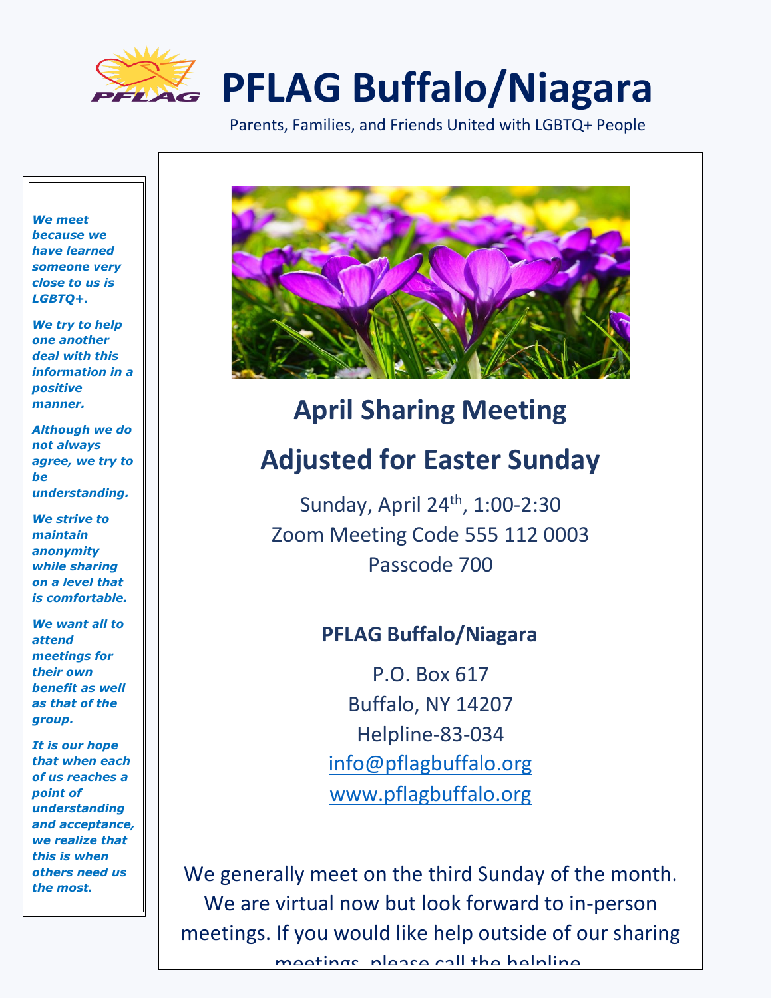

# **PFLAG Buffalo/Niagara**

Parents, Families, and Friends United with LGBTQ+ People

*We meet because we have learned someone very close to us is LGBTQ+.* 

*We try to help one another deal with this information in a positive manner.* 

*Although we do not always agree, we try to be understanding.*

*We strive to maintain anonymity while sharing on a level that is comfortable.*

*We want all to attend meetings for their own benefit as well as that of the group.*

*It is our hope that when each of us reaches a point of understanding and acceptance, we realize that this is when others need us the most.*



# **April Sharing Meeting Adjusted for Easter Sunday**

Sunday, April 24<sup>th</sup>, 1:00-2:30 Zoom Meeting Code 555 112 0003 Passcode 700

# **PFLAG Buffalo/Niagara**

P.O. Box 617 Buffalo, NY 14207 Helpline-83-034 [info@pflagbuffalo.org](mailto:info@pflagbuffalo.org) [www.pflagbuffalo.org](http://www.pflagbuffalo.org/)

We generally meet on the third Sunday of the month. We are virtual now but look forward to in-person meetings. If you would like help outside of our sharing

meetings, please call the helpline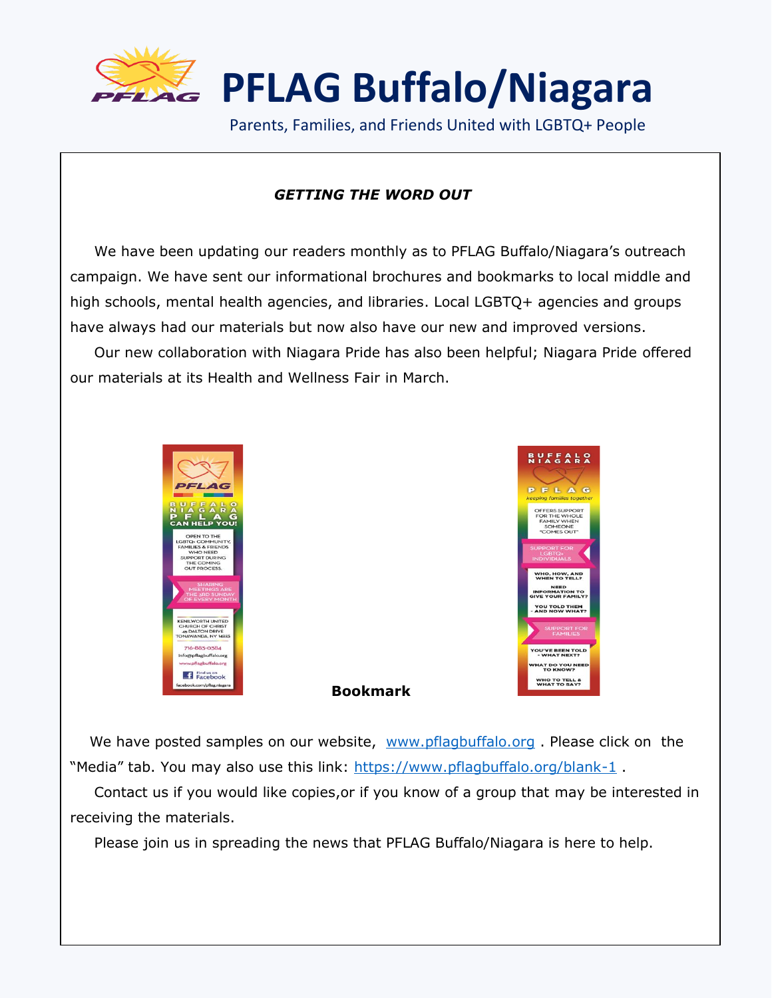

**PFLAG Buffalo/Niagara**

Parents, Families, and Friends United with LGBTQ+ People

#### *GETTING THE WORD OUT*

 We have been updating our readers monthly as to PFLAG Buffalo/Niagara's outreach campaign. We have sent our informational brochures and bookmarks to local middle and high schools, mental health agencies, and libraries. Local LGBTQ+ agencies and groups have always had our materials but now also have our new and improved versions. Our new collaboration with Niagara Pride has also been helpful; Niagara Pride offered our materials at its Health and Wellness Fair in March.





We have posted samples on our website, [www.pflagbuffalo.org](http://www.pflagbuffalo.org/). Please click on the "Media" tab. You may also use this link:<https://www.pflagbuffalo.org/blank-1>.

**Bookmark** 

 Contact us if you would like copies,or if you know of a group that may be interested in receiving the materials.

Please join us in spreading the news that PFLAG Buffalo/Niagara is here to help.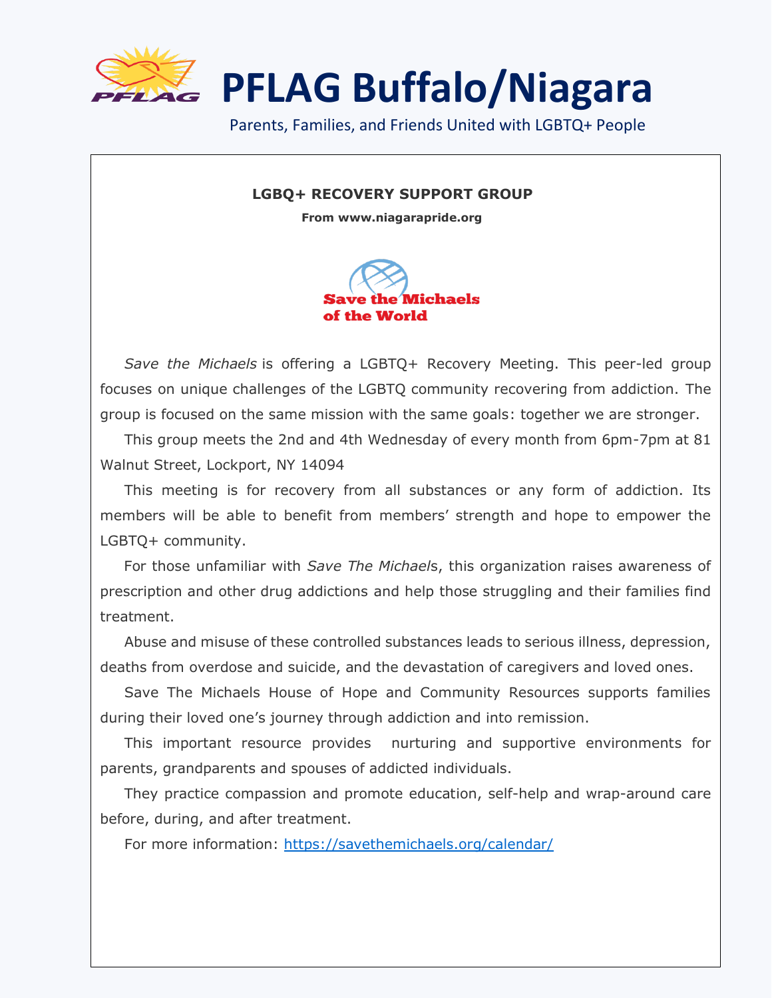

 $\overline{\phantom{a}}$ 

**PFLAG Buffalo/Niagara**

Parents, Families, and Friends United with LGBTQ+ People

#### **LGBQ+ RECOVERY SUPPORT GROUP**

 **From www.niagarapride.org**



 *Save the Michaels* is offering a LGBTQ+ Recovery Meeting. This peer-led group focuses on unique challenges of the LGBTQ community recovering from addiction. The group is focused on the same mission with the same goals: together we are stronger.

 This group meets the 2nd and 4th Wednesday of every month from 6pm-7pm at 81 Walnut Street, Lockport, NY 14094

 This meeting is for recovery from all substances or any form of addiction. Its members will be able to benefit from members' strength and hope to empower the LGBTQ+ community.

For those unfamiliar with *Save The Michael*s, this organization raises awareness of prescription and other drug addictions and help those struggling and their families find treatment.

 Abuse and misuse of these controlled substances leads to serious illness, depression, deaths from overdose and suicide, and the devastation of caregivers and loved ones.

 Save The Michaels House of Hope and Community Resources supports families during their loved one's journey through addiction and into remission.

 This important resource provides nurturing and supportive environments for parents, grandparents and spouses of addicted individuals.

 They practice compassion and promote education, self-help and wrap-around care before, during, and after treatment.

For more information: <https://savethemichaels.org/calendar/>